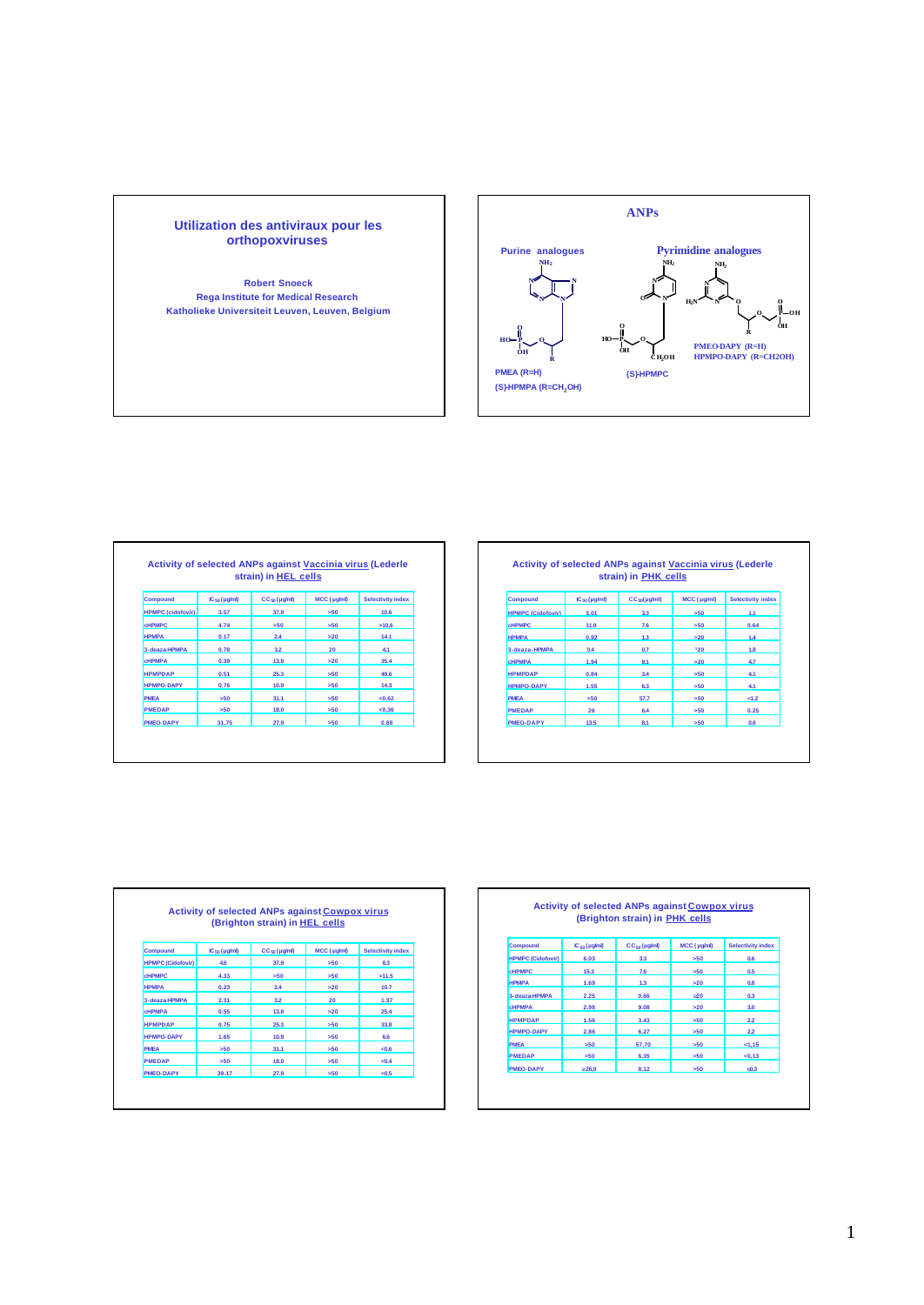



|                          |                    | strain) in HEL cells     |             |                          |
|--------------------------|--------------------|--------------------------|-------------|--------------------------|
| <b>Compound</b>          | $IC_{50}(\mu g/m)$ | CC <sub>50</sub> (µg/ml) | MCC (µg/ml) | <b>Selectivity index</b> |
| <b>HPMPC (cidofovir)</b> | 3.57               | 37.9                     | >50         | 10.6                     |
| <b>CHPMPC</b>            | 4.74               | 550                      | 550         | 510.6                    |
| <b>HPMPA</b>             | 0.17               | 24                       | >20         | 14.1                     |
| 3-deaza-HPMPA            | 0.78               | 3.2                      | 20          | 4.1                      |
| <b>CHPMPA</b>            | 0.39               | 13.8                     | >20         | 35.4                     |
| <b>HPMPDAP</b>           | 0.51               | 25.3                     | 550         | 49.6                     |
| <b>HPMPO-DAPY</b>        | 0.76               | 10.9                     | 550         | 14.3                     |
| <b>PMFA</b>              | 550                | 31.1                     | 550         | <0.62                    |
| <b>PMEDAP</b>            | >50                | 18.0                     | >50         | < 0.36                   |
| PMEO-DAPY                | 31.75              | 27.9                     | 550         | 0.88                     |

| <b>Compound</b>          | $IC_{50}(\mu g/ml)$ | $CC_{50}(\mu g/ml)$ | MCC (µg/ml) | <b>Selectivity index</b> |
|--------------------------|---------------------|---------------------|-------------|--------------------------|
| <b>HPMPC (Cidofovir)</b> | 3.01                | ११                  | 560         | 11                       |
| <b>CHPMPC</b>            | 11.9                | 7.6                 | >50         | 0.64                     |
| <b>НРМРА</b>             | 0.92                | 12                  | $\sim$ 20   | 4.4                      |
| 3-deaza-HPMPA            | 0.4                 | 0.7                 | 320         | 1.8                      |
| <b>CHPMPA</b>            | 1.94                | Q <sub>1</sub>      | $\sim$ 20   | 47                       |
| <b>HPMPDAP</b>           | 0.84                | 3.4                 | >50         | 4.1                      |
| HPMPO-DAPY               | 1.55                | 63                  | 550         | 44                       |
| <b>PMFA</b>              | >50                 | 57.7                | >50         | <1.2                     |
| <b>PMEDAP</b>            | 26                  | 6.4                 | >50         | 0.25                     |
| <b>PMEO-DAPY</b>         | 13.5                | 8.1                 | >50         | 0.6                      |

|                          |                          | <b>Activity of selected ANPs against Cowpox virus</b><br>(Brighton strain) in HEL cells |             |                          |
|--------------------------|--------------------------|-----------------------------------------------------------------------------------------|-------------|--------------------------|
|                          |                          |                                                                                         |             |                          |
| <b>Compound</b>          | IC <sub>50</sub> (µg/ml) | CC <sub>50</sub> (µg/ml)                                                                | MCC (µg/ml) | <b>Selectivity index</b> |
| <b>HPMPC (Cidofovir)</b> | 4.6                      | 37.9                                                                                    | 550         | 8.3                      |
| <b>CHPMPC</b>            | 4.33                     | 550                                                                                     | 550         | 511.5                    |
| <b>HPMPA</b>             | 0.23                     | 24                                                                                      | >20         | 10.7                     |
| 3-deaza-HPMPA            | 2.31                     | 3.2                                                                                     | 20          | 1.37                     |
| <b>CHPMPA</b>            | 0.55                     | 13.8                                                                                    | >20         | 25.4                     |
| <b>HPMPDAP</b>           | 0.75                     | 25.3                                                                                    | 550         | 33.8                     |
| <b>HPMPO-DAPY</b>        | 1.65                     | 10.9                                                                                    | 550         | 6.6                      |
| <b>PMFA</b>              | 550                      | 31.1                                                                                    | 550         | <0.6                     |
| <b>PMEDAP</b>            | 550                      | 18.0                                                                                    | 550         | < 0.4                    |
| <b>PMEO-DAPY</b>         | 39.17                    | 27.9                                                                                    | 550         | < 0.5                    |

|                          |                    | (Brighton strain) in PHK cells |             |                          |
|--------------------------|--------------------|--------------------------------|-------------|--------------------------|
| <b>Compound</b>          | $IC_{50}(\mu g/m)$ | $CC_{50}$ (µg/ml)              | MCC (µg/ml) | <b>Selectivity index</b> |
| <b>HPMPC (Cidofovir)</b> | 6.03               | 3.3                            | >50         | 0.6                      |
| <b>CHPMPC</b>            | 15.3               | 7.6                            | >50         | 0.5                      |
| <b>HPMPA</b>             | 1.69               | 1.3                            | >20         | 0.8                      |
| 3-deaza-HPMPA            | 2.25               | 0.66                           | 320         | 0.3                      |
| <b>CHPMPA</b>            | 2.98               | 9.08                           | >20         | 3.0                      |
| <b>HPMPDAP</b>           | 1.56               | 3.43                           | >50         | 22                       |
| <b>HPMPO-DAPY</b>        | 2.86               | 6.27                           | >50         | 22                       |
| <b>PMFA</b>              | 550                | 57.70                          | >50         | 1.15                     |
| <b>PMEDAP</b>            | 550                | 6.35                           | >50         | < 0.13                   |
| <b>PMEO-DAPY</b>         | 326.9              | 8.12                           | >50         | £0.3                     |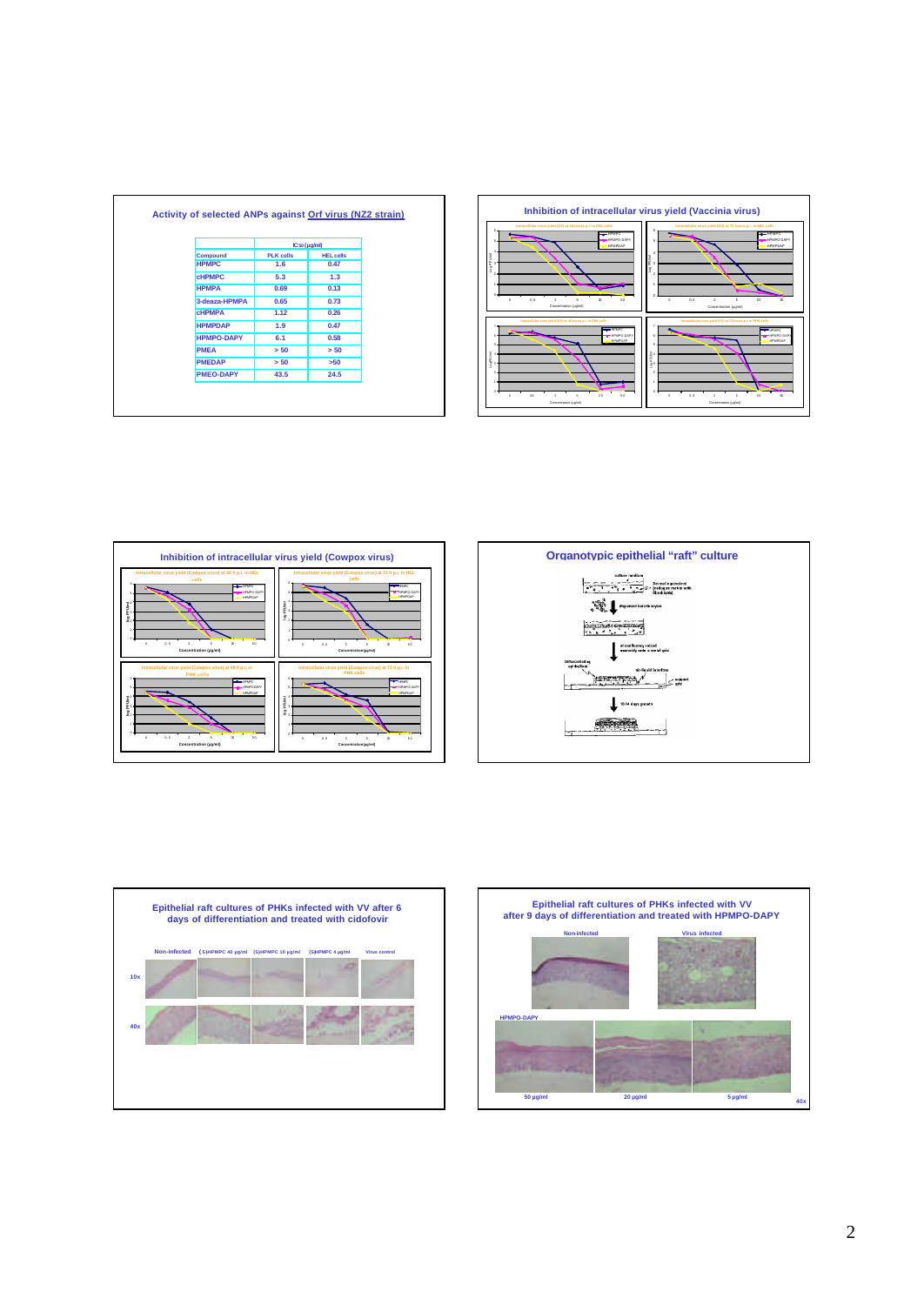|                   |                  | IC so (µg/ml)    |  |  |
|-------------------|------------------|------------------|--|--|
| <b>Compound</b>   | <b>PLK</b> cells | <b>HEL cells</b> |  |  |
| <b>HPMPC</b>      | 1.6              | 0.47             |  |  |
| <b>CHPMPC</b>     | 5.3              | 1.3              |  |  |
| <b>HPMPA</b>      | 0.69             | 0.13             |  |  |
| 3-deaza-HPMPA     | 0.65             | 0.73             |  |  |
| <b>CHPMPA</b>     | 1.12             | 0.26             |  |  |
| <b>HPMPDAP</b>    | 1.9              | 0.47             |  |  |
| <b>HPMPO-DAPY</b> | 6.1              | 0.58             |  |  |
| <b>PMEA</b>       | > 50             | > 50             |  |  |
| <b>PMEDAP</b>     | > 50             | >50              |  |  |
| <b>PMEO-DAPY</b>  | 43.5             | 24.5             |  |  |









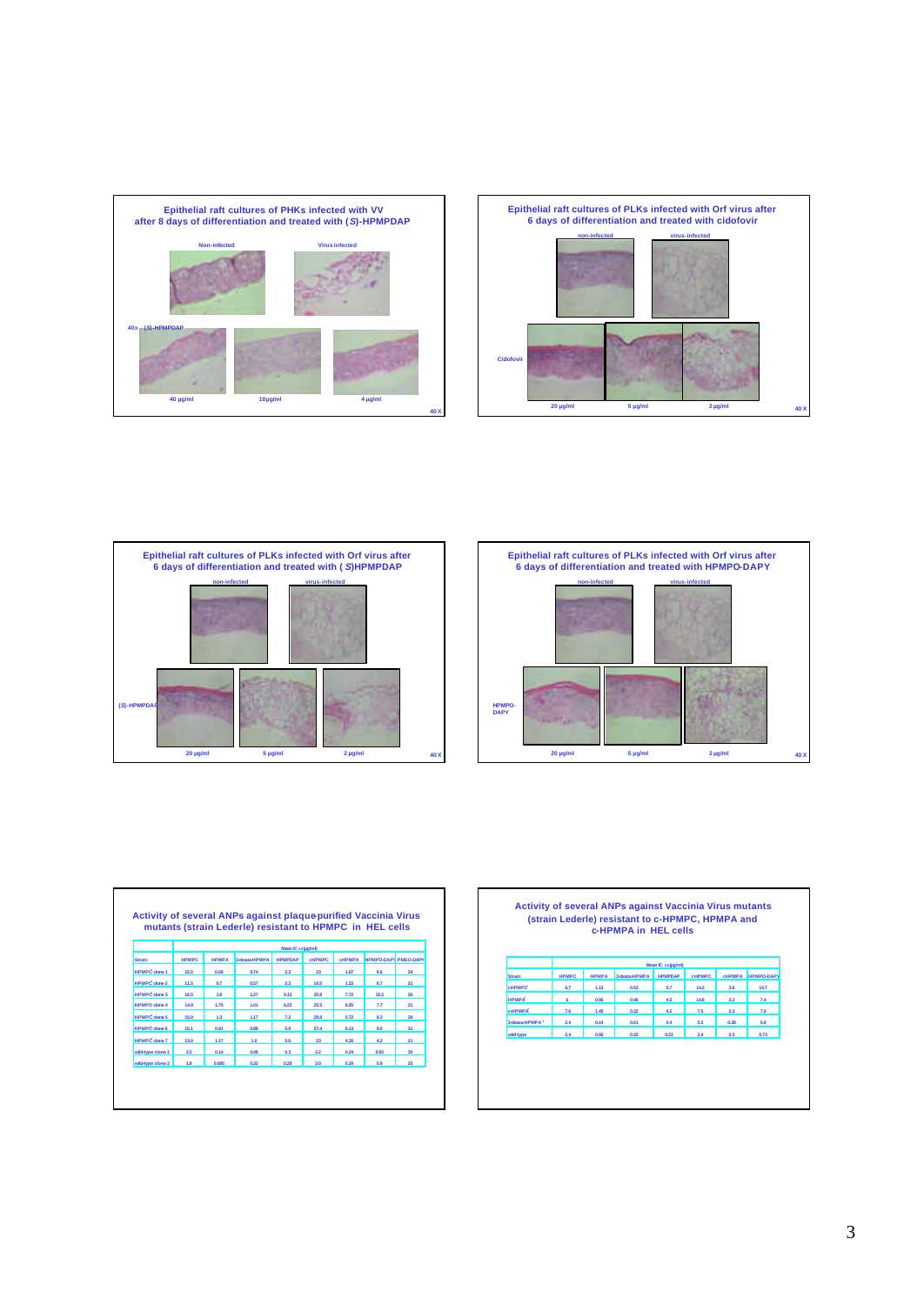







|                      |              |                   | mutants (strain Lederle) resistant to HPMPC in HEL cells |         |                |               |                             |                 |  |  |
|----------------------|--------------|-------------------|----------------------------------------------------------|---------|----------------|---------------|-----------------------------|-----------------|--|--|
|                      |              |                   |                                                          |         |                |               |                             |                 |  |  |
|                      |              | Mean IC solug/ml) |                                                          |         |                |               |                             |                 |  |  |
| Strain               | <b>HPMPC</b> | <b>НРМРА</b>      | 3-deaza-HPMPA                                            | ΗΡΜΡΩΔΡ | <b>CHPMPC</b>  | <b>CHPMPA</b> | <b>HPMPO-DAPY PMEO-DAPY</b> |                 |  |  |
| <b>HPMPC</b> clone 1 | 15.5         | 0.69              | 0.74                                                     | 23      | m              | 1.67          | 9.6                         | 24              |  |  |
| <b>HPMPC</b> clone 2 | 11.5         | 0.7               | 0.57                                                     | 23      | 14.5           | 1.33          | 6.7                         | 21              |  |  |
| <b>HPMPC</b> clone 3 | 16.5         | 1.8               | 1.27                                                     | 9.13    | 30.8           | 7.72          | 15.3                        | 26              |  |  |
| <b>HPMPC</b> clone 4 | 14.9         | 1.75              | 1.01                                                     | 6.23    | 25.5           | 6.85          | 77                          | 21              |  |  |
| <b>HPMPC</b> clone 5 | 15.9         | 13                | 1.17                                                     | 72      | <b>28.8</b>    | 5.72          | 83                          | 28              |  |  |
| <b>HPMPC</b> clone 6 | 15.1         | 0.91              | 0.88                                                     | 59      | 27.4           | 6.13          | 90                          | 31              |  |  |
| <b>HPMPC</b> clone 7 | 13.0         | 1.17              | 1.0                                                      | 5.6     | $\mathfrak{A}$ | 4.36          | 42                          | 21              |  |  |
| wild-type clone 1    | 25           | 0.14              | 0.46                                                     | 0.3     | 32             | 0.24          | 0.93                        | 30 <sub>0</sub> |  |  |
| wild-type clone 2    | 1.8          | 0.095             | 0.32                                                     | 0.28    | 39             | 0.39          | 0.9                         | 25              |  |  |

|        |              | <b>Activity of several ANPs against Vaccinia Virus mutants</b><br>(strain Lederle) resistant to c-HPMPC, HPMPA and<br>c-HPMPA in HEL cells |                  |               |               |                 |
|--------|--------------|--------------------------------------------------------------------------------------------------------------------------------------------|------------------|---------------|---------------|-----------------|
|        |              |                                                                                                                                            | Mean IC solucimD |               |               |                 |
| Strain | <b>HPMPC</b> |                                                                                                                                            | ΗΡΜΡΩΔΡ          | <b>CHPMPC</b> | <b>CHPMPA</b> | <b>MPO-DAPY</b> |

| <b>Strain</b>              | <b>HPMPC</b> | <b>HPMPA</b> | 3-deaza-HPMPA HPMPDAP |      | <b>CHPMPC</b> | <b>CHPMPA</b> | <b>HPMPO-DAPY</b> |
|----------------------------|--------------|--------------|-----------------------|------|---------------|---------------|-------------------|
| <b>CHPMPC</b>              | 67           | 1.13         | 0.53                  | 5.7  | 14.2          | 3.6           | 14.7              |
| <b>HPMPA</b>               | e            | 0.96         | 0.46                  | 45   | 14.8          | 22            | 7.4               |
| <b>CHPMPA</b>              | 7.6          | 1.45         | 0.32                  | 42   | 75            | 23            | 7.0               |
| 3-deaza-HPMPA <sup>+</sup> | 24           | 0.14         | 0.61                  | 0.4  | 5.3           | 0.38          | 0.9               |
| wild-type                  | 2.4          | 0.06         | 0.32                  | 0.23 | 3.4           | 0.3           | 0.73              |